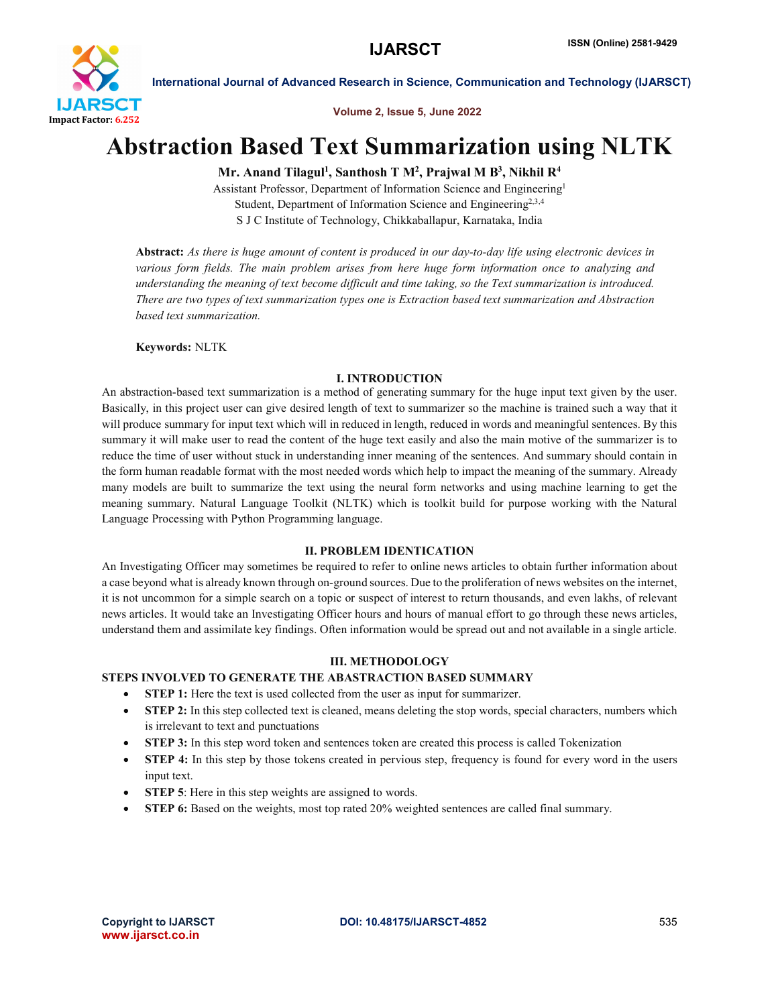

Volume 2, Issue 5, June 2022

# Abstraction Based Text Summarization using NLTK

## Mr. Anand Tilagul<sup>1</sup>, Santhosh T M<sup>2</sup>, Prajwal M B<sup>3</sup>, Nikhil R<sup>4</sup>

Assistant Professor, Department of Information Science and Engineering1 Student, Department of Information Science and Engineering<sup>2,3,4</sup> S J C Institute of Technology, Chikkaballapur, Karnataka, India

Abstract: *As there is huge amount of content is produced in our day-to-day life using electronic devices in various form fields. The main problem arises from here huge form information once to analyzing and understanding the meaning of text become difficult and time taking, so the Text summarization is introduced. There are two types of text summarization types one is Extraction based text summarization and Abstraction based text summarization.*

Keywords: NLTK

### I. INTRODUCTION

An abstraction-based text summarization is a method of generating summary for the huge input text given by the user. Basically, in this project user can give desired length of text to summarizer so the machine is trained such a way that it will produce summary for input text which will in reduced in length, reduced in words and meaningful sentences. By this summary it will make user to read the content of the huge text easily and also the main motive of the summarizer is to reduce the time of user without stuck in understanding inner meaning of the sentences. And summary should contain in the form human readable format with the most needed words which help to impact the meaning of the summary. Already many models are built to summarize the text using the neural form networks and using machine learning to get the meaning summary. Natural Language Toolkit (NLTK) which is toolkit build for purpose working with the Natural Language Processing with Python Programming language.

### II. PROBLEM IDENTICATION

An Investigating Officer may sometimes be required to refer to online news articles to obtain further information about a case beyond what is already known through on-ground sources. Due to the proliferation of news websites on the internet, it is not uncommon for a simple search on a topic or suspect of interest to return thousands, and even lakhs, of relevant news articles. It would take an Investigating Officer hours and hours of manual effort to go through these news articles, understand them and assimilate key findings. Often information would be spread out and not available in a single article.

### III. METHODOLOGY

### STEPS INVOLVED TO GENERATE THE ABASTRACTION BASED SUMMARY

- STEP 1: Here the text is used collected from the user as input for summarizer.
- STEP 2: In this step collected text is cleaned, means deleting the stop words, special characters, numbers which is irrelevant to text and punctuations
- STEP 3: In this step word token and sentences token are created this process is called Tokenization
- STEP 4: In this step by those tokens created in pervious step, frequency is found for every word in the users input text.
- STEP 5: Here in this step weights are assigned to words.
- STEP 6: Based on the weights, most top rated 20% weighted sentences are called final summary.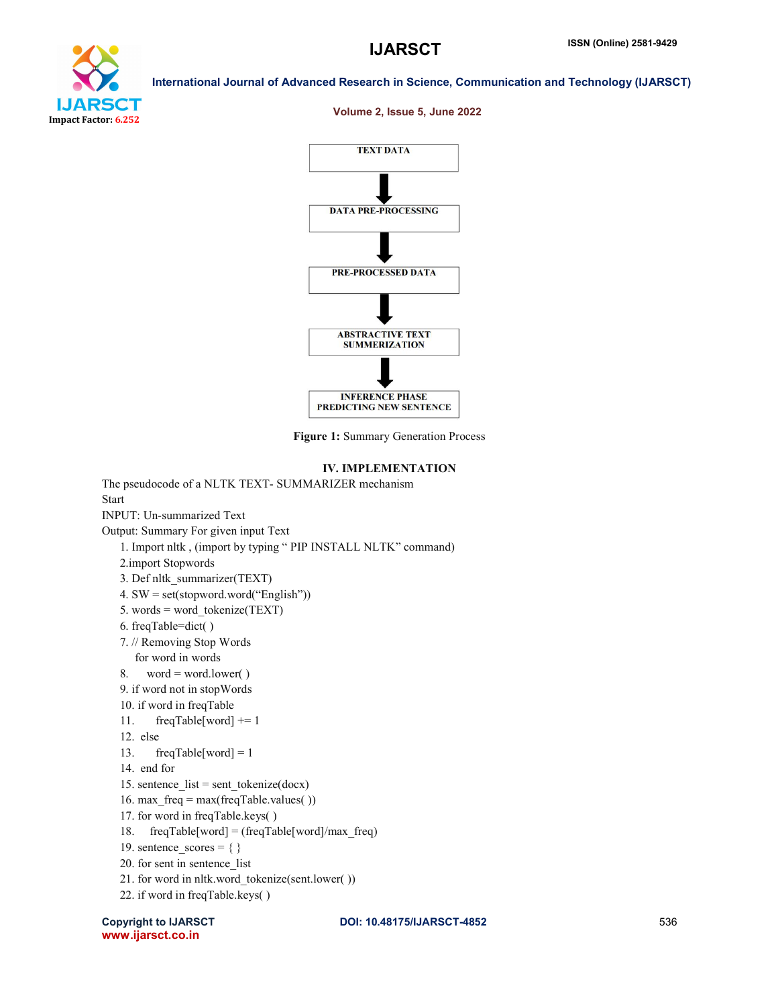

#### Volume 2, Issue 5, June 2022



Figure 1: Summary Generation Process

#### IV. IMPLEMENTATION

The pseudocode of a NLTK TEXT- SUMMARIZER mechanism **Start** INPUT: Un-summarized Text Output: Summary For given input Text 1. Import nltk , (import by typing " PIP INSTALL NLTK" command) 2.import Stopwords 3. Def nltk\_summarizer(TEXT) 4. SW = set(stopword.word("English")) 5. words = word\_tokenize(TEXT) 6. freqTable=dict( ) 7. // Removing Stop Words for word in words 8. word = word.lower( $)$  9. if word not in stopWords 10. if word in freqTable 11. freqTable[word]  $+= 1$  12. else 13. freqTable[word] = 1 14. end for 15. sentence  $list = sent$  tokenize(docx) 16. max  $freq = max(freqTable values()$  17. for word in freqTable.keys( ) 18. freqTable[word] = (freqTable[word]/max\_freq) 19. sentence  $scores = \{\}$  20. for sent in sentence\_list 21. for word in nltk.word\_tokenize(sent.lower( )) 22. if word in freqTable.keys( )

www.ijarsct.co.in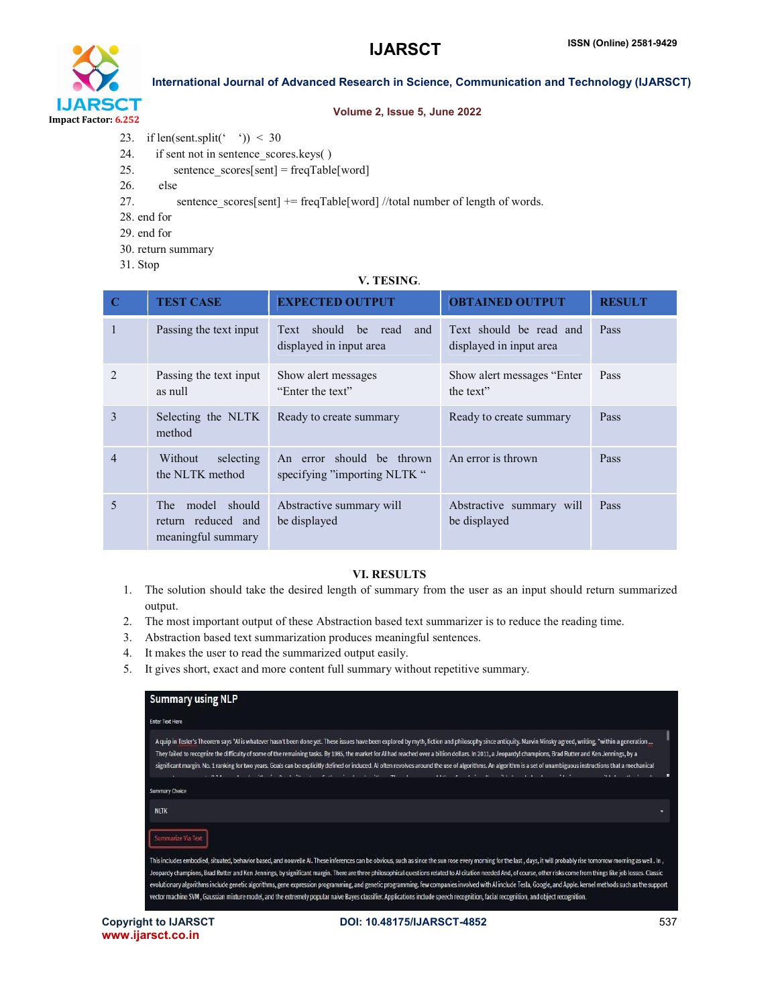

#### Volume 2, Issue 5, June 2022

- 23. if len(sent.split(' ')) < 30
- 24. if sent not in sentence scores.keys()
- 25. sentence  $\text{scores}[\text{sent}] = \text{freqTable}[\text{word}]$
- 26. else
- 27. sentence\_scores[sent] += freqTable[word] //total number of length of words.
- 28. end for
- 29. end for
- 30. return summary
- 31. Stop

### V. TESING.

| $\mathbf C$    | <b>TEST CASE</b>                                                  | <b>EXPECTED OUTPUT</b>                                         | <b>OBTAINED OUTPUT</b>                             | <b>RESULT</b> |
|----------------|-------------------------------------------------------------------|----------------------------------------------------------------|----------------------------------------------------|---------------|
|                | Passing the text input                                            | should<br>be<br>read<br>Text<br>and<br>displayed in input area | Text should be read and<br>displayed in input area | Pass          |
| $\mathfrak{D}$ | Passing the text input<br>as null                                 | Show alert messages<br>"Enter the text"                        | Show alert messages "Enter"<br>the text"           | Pass          |
| 3              | Selecting the NLTK<br>method                                      | Ready to create summary                                        | Ready to create summary                            | Pass          |
| $\overline{4}$ | Without<br>selecting<br>the NLTK method                           | An error should be thrown<br>specifying "importing NLTK "      | An error is thrown                                 | Pass          |
| 5              | model should<br>The T<br>return reduced and<br>meaningful summary | Abstractive summary will<br>be displayed                       | Abstractive summary will<br>be displayed           | Pass          |

### VI. RESULTS

- 1. The solution should take the desired length of summary from the user as an input should return summarized output.
- 2. The most important output of these Abstraction based text summarizer is to reduce the reading time.
- 3. Abstraction based text summarization produces meaningful sentences.
- 4. It makes the user to read the summarized output easily.
- 5. It gives short, exact and more content full summary without repetitive summary.

| <b>Summary using NLP</b>                                                                                                                                                                                                                                                                                                                                                                                                                                                                                                                                                                                                                                                                                                                                                                                                                             |                                             |
|------------------------------------------------------------------------------------------------------------------------------------------------------------------------------------------------------------------------------------------------------------------------------------------------------------------------------------------------------------------------------------------------------------------------------------------------------------------------------------------------------------------------------------------------------------------------------------------------------------------------------------------------------------------------------------------------------------------------------------------------------------------------------------------------------------------------------------------------------|---------------------------------------------|
| <b>Enter Text Here</b>                                                                                                                                                                                                                                                                                                                                                                                                                                                                                                                                                                                                                                                                                                                                                                                                                               |                                             |
| A quip in Tesler's Theorem says "AI is whatever hasn't been done yet. These issues have been explored by myth, fiction and philosophy since antiquity. Marvin Minsky agreed, writing, "within a generation<br>They failed to recognize the difficulty of some of the remaining tasks. By 1985, the market for AI had reached over a billion dollars. In 2011, a Jeopardy! champions, Brad Rutter and Ken Jennings, by a<br>significant margin. No. 1 ranking for two years. Goals can be explicitly defined or induced. Al often revolves around the use of algorithms. An algorithm is a set of unambiguous instructions that a mechanical<br>સંસ્થાન પર પ્રાથમિક સંસ્થાઓના સંસ્થા માત્ર પ્રાપ્ય થયેલ આવ્યા હતા. તેમના સંસ્થાન સંસ્થિત પ્રસંગ પર પ્રાપ્ય થયેલ                                                                                       | <b>Provident Controller Controller Bank</b> |
| <b>Summary Choice</b>                                                                                                                                                                                                                                                                                                                                                                                                                                                                                                                                                                                                                                                                                                                                                                                                                                |                                             |
| <b>NLTK</b>                                                                                                                                                                                                                                                                                                                                                                                                                                                                                                                                                                                                                                                                                                                                                                                                                                          |                                             |
| Summarize Via Text                                                                                                                                                                                                                                                                                                                                                                                                                                                                                                                                                                                                                                                                                                                                                                                                                                   |                                             |
| This includes embodied, situated, behavior based, and nouvelle Al. These inferences can be obvious, such as since the sun rose every morning for the last, days, it will probably rise tomorrow morning as well . In,<br>Jeopardy champions, Brad Rutter and Ken Jennings, by significant margin. There are three philosophical questions related to Al citation needed And, of course, other risks come from things like job losses. Classic<br>evolutionary algorithms include genetic algorithms, gene expression programming, and genetic programming, few companies involved with Al include Tesla, Google, and Apple, kernel methods such as the support<br>vector machine SVM, Gaussian mixture model, and the extremely popular naive Bayes classifier. Applications include speech recognition, facial recognition, and object recognition, |                                             |

www.ijarsct.co.in

Copyright to IJARSCT **DOI: 10.48175/IJARSCT-4852** 537